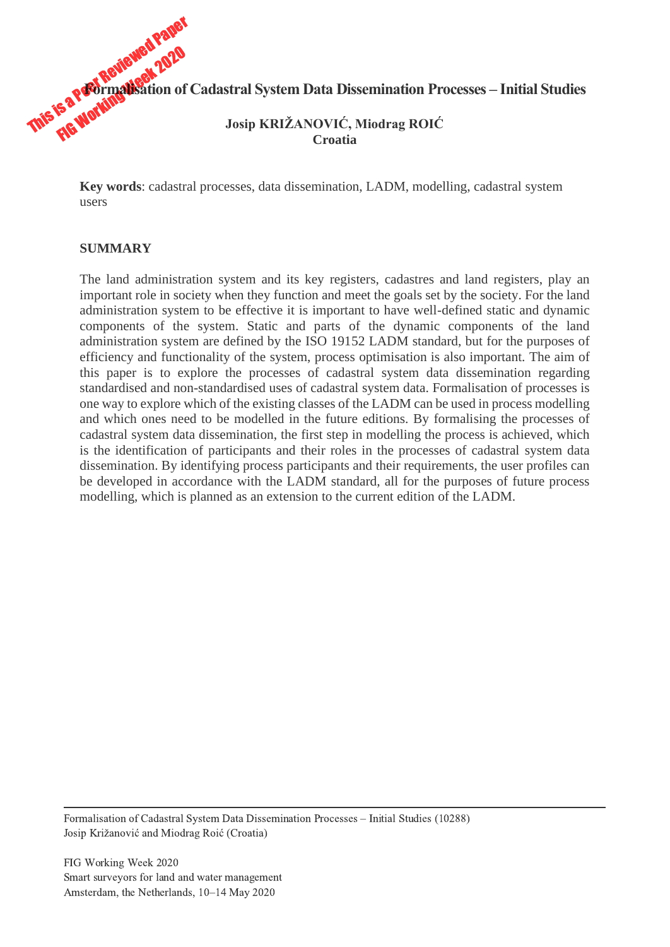

**Key words**: cadastral processes, data dissemination, LADM, modelling, cadastral system users

#### **SUMMARY**

The land administration system and its key registers, cadastres and land registers, play an important role in society when they function and meet the goals set by the society. For the land administration system to be effective it is important to have well-defined static and dynamic components of the system. Static and parts of the dynamic components of the land administration system are defined by the ISO 19152 LADM standard, but for the purposes of efficiency and functionality of the system, process optimisation is also important. The aim of this paper is to explore the processes of cadastral system data dissemination regarding standardised and non-standardised uses of cadastral system data. Formalisation of processes is one way to explore which of the existing classes of the LADM can be used in process modelling and which ones need to be modelled in the future editions. By formalising the processes of cadastral system data dissemination, the first step in modelling the process is achieved, which is the identification of participants and their roles in the processes of cadastral system data dissemination. By identifying process participants and their requirements, the user profiles can be developed in accordance with the LADM standard, all for the purposes of future process modelling, which is planned as an extension to the current edition of the LADM.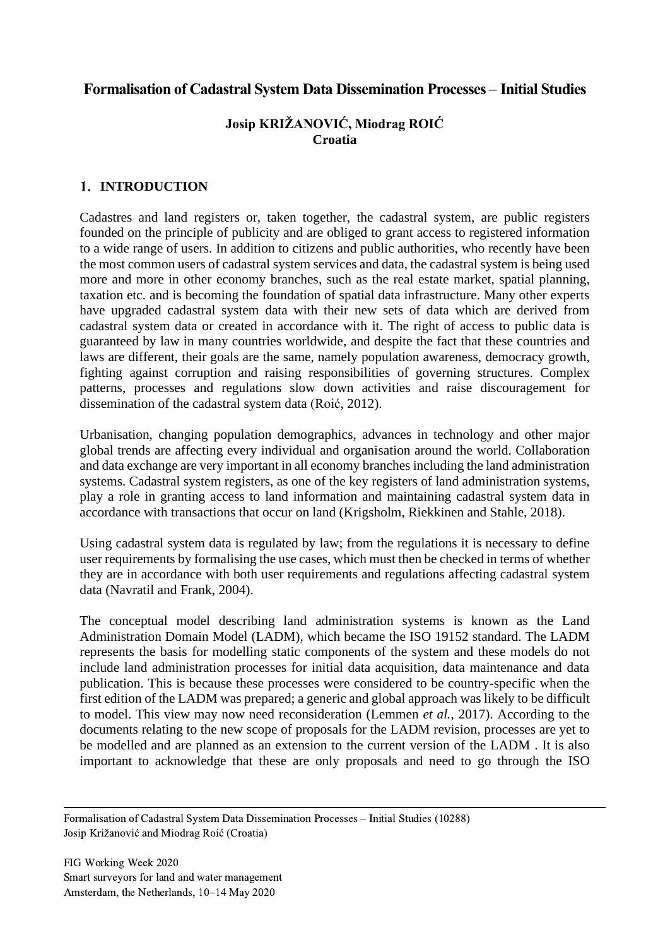# **Formalisation of Cadastral System Data Dissemination Processes** – **Initial Studies**

# **Josip KRIŽANOVIĆ, Miodrag ROIĆ Croatia**

## **1. INTRODUCTION**

Cadastres and land registers or, taken together, the cadastral system, are public registers founded on the principle of publicity and are obliged to grant access to registered information to a wide range of users. In addition to citizens and public authorities, who recently have been the most common users of cadastral system services and data, the cadastral system is being used more and more in other economy branches, such as the real estate market, spatial planning, taxation etc. and is becoming the foundation of spatial data infrastructure. Many other experts have upgraded cadastral system data with their new sets of data which are derived from cadastral system data or created in accordance with it. The right of access to public data is guaranteed by law in many countries worldwide, and despite the fact that these countries and laws are different, their goals are the same, namely population awareness, democracy growth, fighting against corruption and raising responsibilities of governing structures. Complex patterns, processes and regulations slow down activities and raise discouragement for dissemination of the cadastral system data (Roić, 2012).

Urbanisation, changing population demographics, advances in technology and other major global trends are affecting every individual and organisation around the world. Collaboration and data exchange are very important in all economy branches including the land administration systems. Cadastral system registers, as one of the key registers of land administration systems, play a role in granting access to land information and maintaining cadastral system data in accordance with transactions that occur on land (Krigsholm, Riekkinen and Stahle, 2018).

Using cadastral system data is regulated by law; from the regulations it is necessary to define user requirements by formalising the use cases, which must then be checked in terms of whether they are in accordance with both user requirements and regulations affecting cadastral system data (Navratil and Frank, 2004).

The conceptual model describing land administration systems is known as the Land Administration Domain Model (LADM), which became the ISO 19152 standard. The LADM represents the basis for modelling static components of the system and these models do not include land administration processes for initial data acquisition, data maintenance and data publication. This is because these processes were considered to be country-specific when the first edition of the LADM was prepared; a generic and global approach was likely to be difficult to model. This view may now need reconsideration (Lemmen *et al.*, 2017). According to the documents relating to the new scope of proposals for the LADM revision, processes are yet to be modelled and are planned as an extension to the current version of the LADM . It is also important to acknowledge that these are only proposals and need to go through the ISO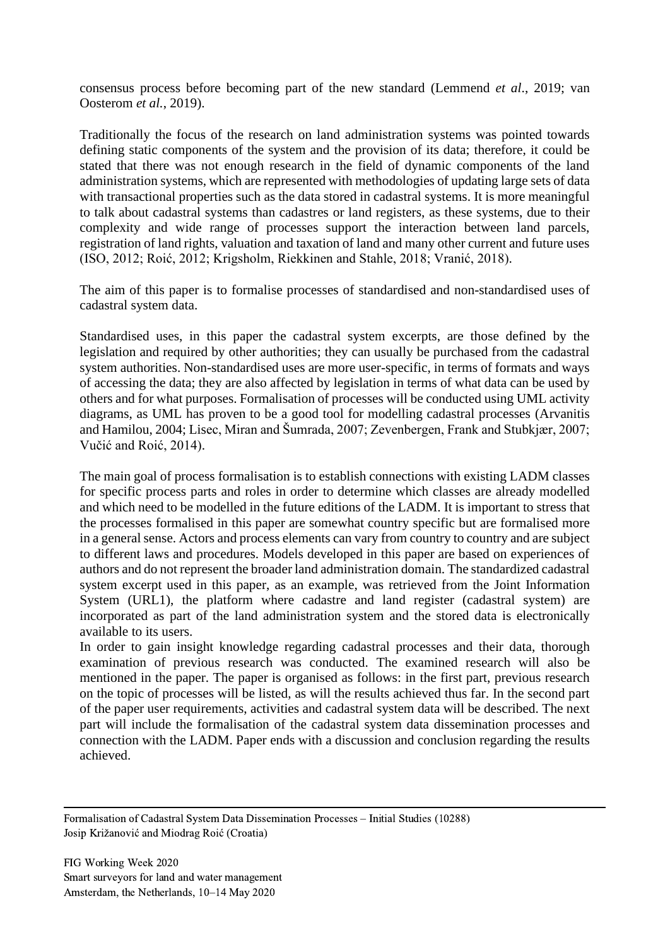consensus process before becoming part of the new standard (Lemmend *et al*., 2019; van Oosterom *et al.*, 2019).

Traditionally the focus of the research on land administration systems was pointed towards defining static components of the system and the provision of its data; therefore, it could be stated that there was not enough research in the field of dynamic components of the land administration systems, which are represented with methodologies of updating large sets of data with transactional properties such as the data stored in cadastral systems. It is more meaningful to talk about cadastral systems than cadastres or land registers, as these systems, due to their complexity and wide range of processes support the interaction between land parcels, registration of land rights, valuation and taxation of land and many other current and future uses (ISO, 2012; Roić, 2012; Krigsholm, Riekkinen and Stahle, 2018; Vranić, 2018).

The aim of this paper is to formalise processes of standardised and non-standardised uses of cadastral system data.

Standardised uses, in this paper the cadastral system excerpts, are those defined by the legislation and required by other authorities; they can usually be purchased from the cadastral system authorities. Non-standardised uses are more user-specific, in terms of formats and ways of accessing the data; they are also affected by legislation in terms of what data can be used by others and for what purposes. Formalisation of processes will be conducted using UML activity diagrams, as UML has proven to be a good tool for modelling cadastral processes (Arvanitis and Hamilou, 2004; Lisec, Miran and Šumrada, 2007; Zevenbergen, Frank and Stubkjær, 2007; Vučić and Roić, 2014).

The main goal of process formalisation is to establish connections with existing LADM classes for specific process parts and roles in order to determine which classes are already modelled and which need to be modelled in the future editions of the LADM. It is important to stress that the processes formalised in this paper are somewhat country specific but are formalised more in a general sense. Actors and process elements can vary from country to country and are subject to different laws and procedures. Models developed in this paper are based on experiences of authors and do not represent the broader land administration domain. The standardized cadastral system excerpt used in this paper, as an example, was retrieved from the Joint Information System (URL1), the platform where cadastre and land register (cadastral system) are incorporated as part of the land administration system and the stored data is electronically available to its users.

In order to gain insight knowledge regarding cadastral processes and their data, thorough examination of previous research was conducted. The examined research will also be mentioned in the paper. The paper is organised as follows: in the first part, previous research on the topic of processes will be listed, as will the results achieved thus far. In the second part of the paper user requirements, activities and cadastral system data will be described. The next part will include the formalisation of the cadastral system data dissemination processes and connection with the LADM. Paper ends with a discussion and conclusion regarding the results achieved.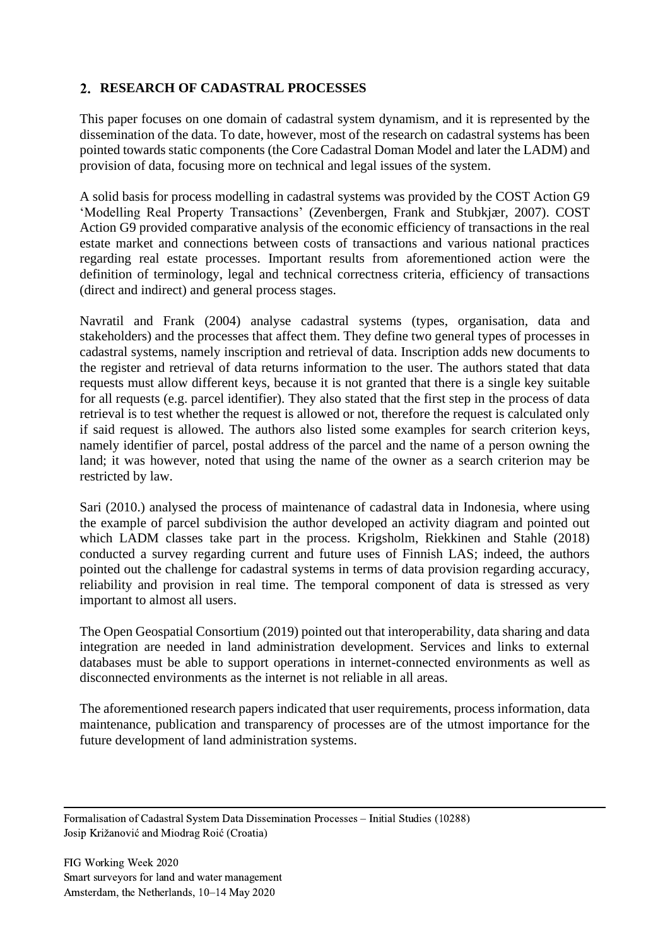# **RESEARCH OF CADASTRAL PROCESSES**

This paper focuses on one domain of cadastral system dynamism, and it is represented by the dissemination of the data. To date, however, most of the research on cadastral systems has been pointed towards static components (the Core Cadastral Doman Model and later the LADM) and provision of data, focusing more on technical and legal issues of the system.

A solid basis for process modelling in cadastral systems was provided by the COST Action G9 'Modelling Real Property Transactions' (Zevenbergen, Frank and Stubkjær, 2007). COST Action G9 provided comparative analysis of the economic efficiency of transactions in the real estate market and connections between costs of transactions and various national practices regarding real estate processes. Important results from aforementioned action were the definition of terminology, legal and technical correctness criteria, efficiency of transactions (direct and indirect) and general process stages.

Navratil and Frank (2004) analyse cadastral systems (types, organisation, data and stakeholders) and the processes that affect them. They define two general types of processes in cadastral systems, namely inscription and retrieval of data. Inscription adds new documents to the register and retrieval of data returns information to the user. The authors stated that data requests must allow different keys, because it is not granted that there is a single key suitable for all requests (e.g. parcel identifier). They also stated that the first step in the process of data retrieval is to test whether the request is allowed or not, therefore the request is calculated only if said request is allowed. The authors also listed some examples for search criterion keys, namely identifier of parcel, postal address of the parcel and the name of a person owning the land; it was however, noted that using the name of the owner as a search criterion may be restricted by law.

Sari (2010.) analysed the process of maintenance of cadastral data in Indonesia, where using the example of parcel subdivision the author developed an activity diagram and pointed out which LADM classes take part in the process. Krigsholm, Riekkinen and Stahle (2018) conducted a survey regarding current and future uses of Finnish LAS; indeed, the authors pointed out the challenge for cadastral systems in terms of data provision regarding accuracy, reliability and provision in real time. The temporal component of data is stressed as very important to almost all users.

The Open Geospatial Consortium (2019) pointed out that interoperability, data sharing and data integration are needed in land administration development. Services and links to external databases must be able to support operations in internet-connected environments as well as disconnected environments as the internet is not reliable in all areas.

The aforementioned research papers indicated that user requirements, process information, data maintenance, publication and transparency of processes are of the utmost importance for the future development of land administration systems.

Formalisation of Cadastral System Data Dissemination Processes – Initial Studies (10288) Josip Križanović and Miodrag Roić (Croatia)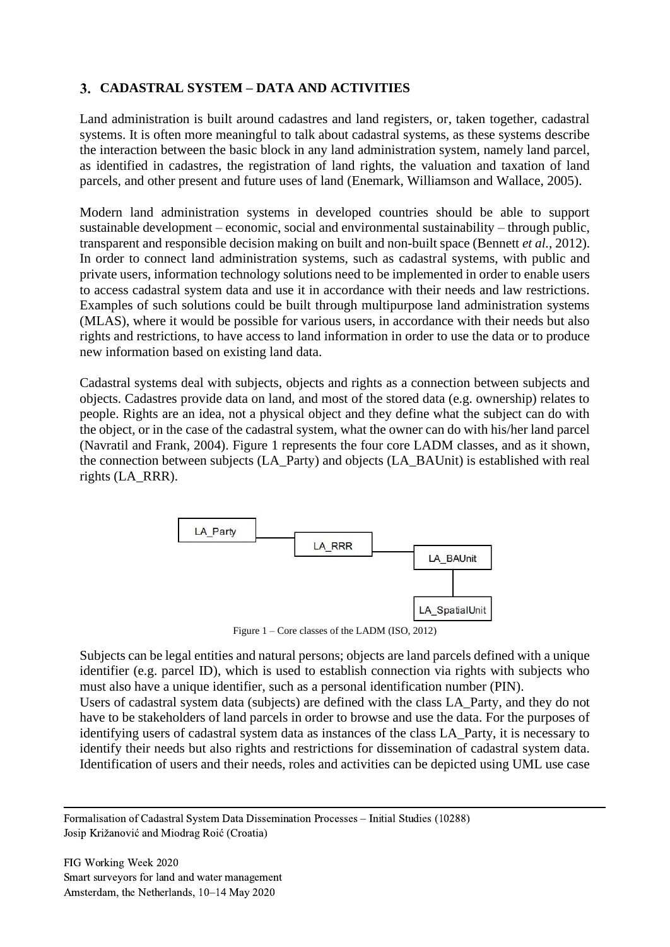# **CADASTRAL SYSTEM – DATA AND ACTIVITIES**

Land administration is built around cadastres and land registers, or, taken together, cadastral systems. It is often more meaningful to talk about cadastral systems, as these systems describe the interaction between the basic block in any land administration system, namely land parcel, as identified in cadastres, the registration of land rights, the valuation and taxation of land parcels, and other present and future uses of land (Enemark, Williamson and Wallace, 2005).

Modern land administration systems in developed countries should be able to support sustainable development – economic, social and environmental sustainability – through public, transparent and responsible decision making on built and non-built space (Bennett *et al.*, 2012). In order to connect land administration systems, such as cadastral systems, with public and private users, information technology solutions need to be implemented in order to enable users to access cadastral system data and use it in accordance with their needs and law restrictions. Examples of such solutions could be built through multipurpose land administration systems (MLAS), where it would be possible for various users, in accordance with their needs but also rights and restrictions, to have access to land information in order to use the data or to produce new information based on existing land data.

Cadastral systems deal with subjects, objects and rights as a connection between subjects and objects. Cadastres provide data on land, and most of the stored data (e.g. ownership) relates to people. Rights are an idea, not a physical object and they define what the subject can do with the object, or in the case of the cadastral system, what the owner can do with his/her land parcel (Navratil and Frank, 2004). Figure 1 represents the four core LADM classes, and as it shown, the connection between subjects (LA\_Party) and objects (LA\_BAUnit) is established with real rights (LA\_RRR).



Figure 1 – Core classes of the LADM (ISO, 2012)

Subjects can be legal entities and natural persons; objects are land parcels defined with a unique identifier (e.g. parcel ID), which is used to establish connection via rights with subjects who must also have a unique identifier, such as a personal identification number (PIN).

Users of cadastral system data (subjects) are defined with the class LA\_Party, and they do not have to be stakeholders of land parcels in order to browse and use the data. For the purposes of identifying users of cadastral system data as instances of the class LA\_Party, it is necessary to identify their needs but also rights and restrictions for dissemination of cadastral system data. Identification of users and their needs, roles and activities can be depicted using UML use case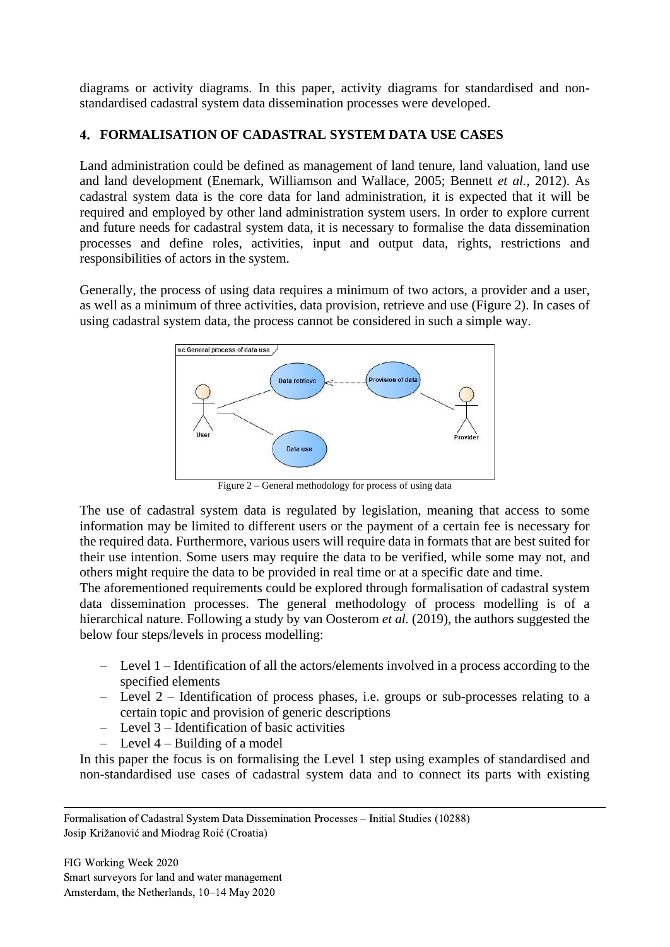diagrams or activity diagrams. In this paper, activity diagrams for standardised and nonstandardised cadastral system data dissemination processes were developed.

# **FORMALISATION OF CADASTRAL SYSTEM DATA USE CASES**

Land administration could be defined as management of land tenure, land valuation, land use and land development (Enemark, Williamson and Wallace, 2005; Bennett *et al.*, 2012). As cadastral system data is the core data for land administration, it is expected that it will be required and employed by other land administration system users. In order to explore current and future needs for cadastral system data, it is necessary to formalise the data dissemination processes and define roles, activities, input and output data, rights, restrictions and responsibilities of actors in the system.

Generally, the process of using data requires a minimum of two actors, a provider and a user, as well as a minimum of three activities, data provision, retrieve and use (Figure 2). In cases of using cadastral system data, the process cannot be considered in such a simple way.



Figure 2 – General methodology for process of using data

The use of cadastral system data is regulated by legislation, meaning that access to some information may be limited to different users or the payment of a certain fee is necessary for the required data. Furthermore, various users will require data in formats that are best suited for their use intention. Some users may require the data to be verified, while some may not, and others might require the data to be provided in real time or at a specific date and time.

The aforementioned requirements could be explored through formalisation of cadastral system data dissemination processes. The general methodology of process modelling is of a hierarchical nature. Following a study by van Oosterom *et al.* (2019), the authors suggested the below four steps/levels in process modelling:

- Level 1 Identification of all the actors/elements involved in a process according to the specified elements
- Level 2 Identification of process phases, i.e. groups or sub-processes relating to a certain topic and provision of generic descriptions
- Level 3 Identification of basic activities
- Level 4 Building of a model

In this paper the focus is on formalising the Level 1 step using examples of standardised and non-standardised use cases of cadastral system data and to connect its parts with existing

Formalisation of Cadastral System Data Dissemination Processes – Initial Studies (10288) Josip Križanović and Miodrag Roić (Croatia)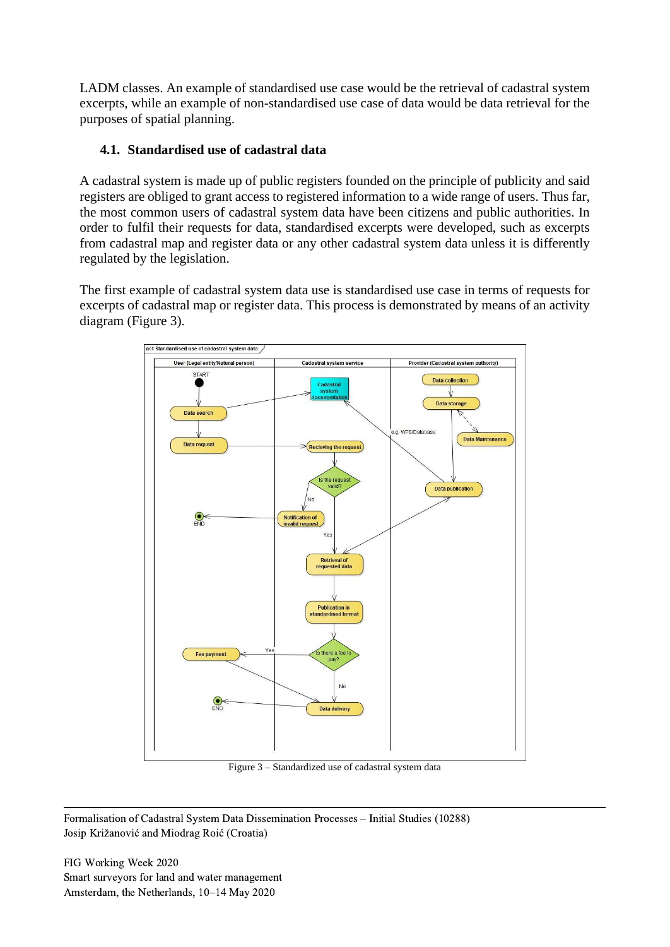LADM classes. An example of standardised use case would be the retrieval of cadastral system excerpts, while an example of non-standardised use case of data would be data retrieval for the purposes of spatial planning.

# **4.1. Standardised use of cadastral data**

A cadastral system is made up of public registers founded on the principle of publicity and said registers are obliged to grant access to registered information to a wide range of users. Thus far, the most common users of cadastral system data have been citizens and public authorities. In order to fulfil their requests for data, standardised excerpts were developed, such as excerpts from cadastral map and register data or any other cadastral system data unless it is differently regulated by the legislation.

The first example of cadastral system data use is standardised use case in terms of requests for excerpts of cadastral map or register data. This process is demonstrated by means of an activity diagram (Figure 3).



Figure 3 – Standardized use of cadastral system data

Formalisation of Cadastral System Data Dissemination Processes – Initial Studies (10288) Josip Križanović and Miodrag Roić (Croatia)

FIG Working Week 2020 Smart surveyors for land and water management Amsterdam, the Netherlands, 10–14 May 2020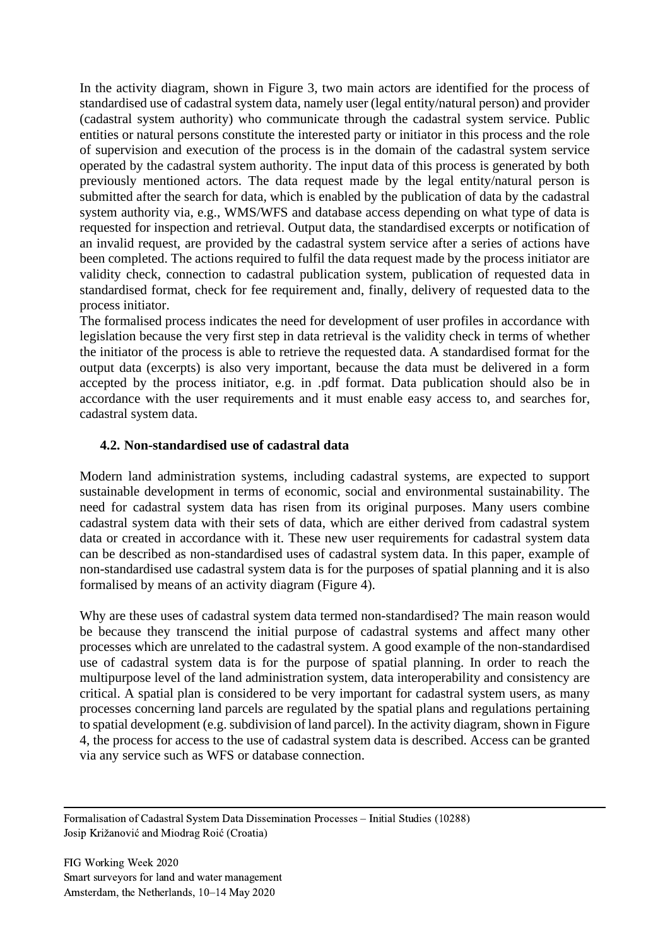In the activity diagram, shown in Figure 3, two main actors are identified for the process of standardised use of cadastral system data, namely user (legal entity/natural person) and provider (cadastral system authority) who communicate through the cadastral system service. Public entities or natural persons constitute the interested party or initiator in this process and the role of supervision and execution of the process is in the domain of the cadastral system service operated by the cadastral system authority. The input data of this process is generated by both previously mentioned actors. The data request made by the legal entity/natural person is submitted after the search for data, which is enabled by the publication of data by the cadastral system authority via, e.g., WMS/WFS and database access depending on what type of data is requested for inspection and retrieval. Output data, the standardised excerpts or notification of an invalid request, are provided by the cadastral system service after a series of actions have been completed. The actions required to fulfil the data request made by the process initiator are validity check, connection to cadastral publication system, publication of requested data in standardised format, check for fee requirement and, finally, delivery of requested data to the process initiator.

The formalised process indicates the need for development of user profiles in accordance with legislation because the very first step in data retrieval is the validity check in terms of whether the initiator of the process is able to retrieve the requested data. A standardised format for the output data (excerpts) is also very important, because the data must be delivered in a form accepted by the process initiator, e.g. in .pdf format. Data publication should also be in accordance with the user requirements and it must enable easy access to, and searches for, cadastral system data.

### **4.2. Non-standardised use of cadastral data**

Modern land administration systems, including cadastral systems, are expected to support sustainable development in terms of economic, social and environmental sustainability. The need for cadastral system data has risen from its original purposes. Many users combine cadastral system data with their sets of data, which are either derived from cadastral system data or created in accordance with it. These new user requirements for cadastral system data can be described as non-standardised uses of cadastral system data. In this paper, example of non-standardised use cadastral system data is for the purposes of spatial planning and it is also formalised by means of an activity diagram (Figure 4).

Why are these uses of cadastral system data termed non-standardised? The main reason would be because they transcend the initial purpose of cadastral systems and affect many other processes which are unrelated to the cadastral system. A good example of the non-standardised use of cadastral system data is for the purpose of spatial planning. In order to reach the multipurpose level of the land administration system, data interoperability and consistency are critical. A spatial plan is considered to be very important for cadastral system users, as many processes concerning land parcels are regulated by the spatial plans and regulations pertaining to spatial development (e.g. subdivision of land parcel). In the activity diagram, shown in Figure 4, the process for access to the use of cadastral system data is described. Access can be granted via any service such as WFS or database connection.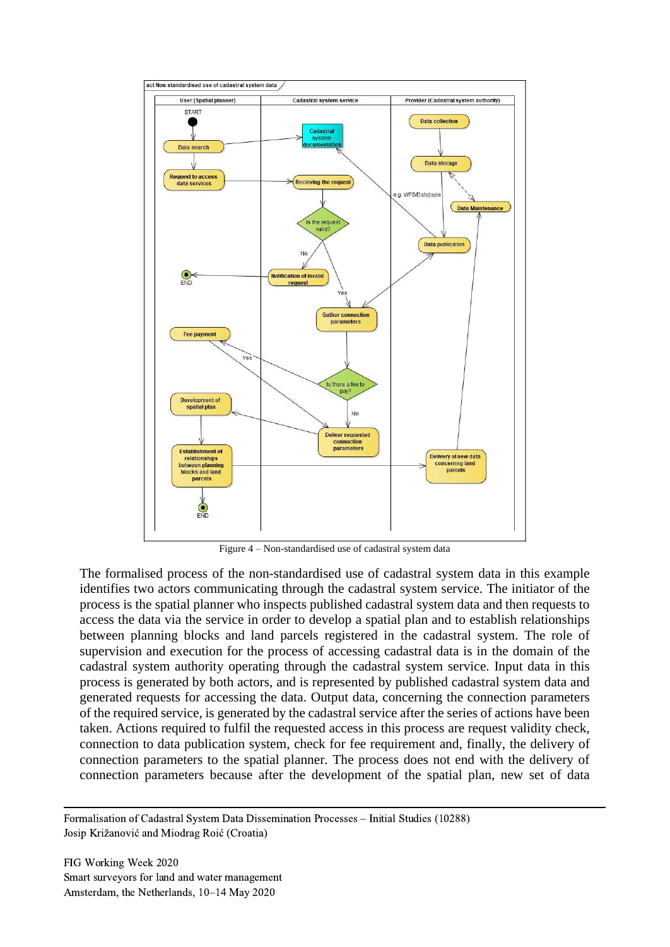

Figure 4 – Non-standardised use of cadastral system data

The formalised process of the non-standardised use of cadastral system data in this example identifies two actors communicating through the cadastral system service. The initiator of the process is the spatial planner who inspects published cadastral system data and then requests to access the data via the service in order to develop a spatial plan and to establish relationships between planning blocks and land parcels registered in the cadastral system. The role of supervision and execution for the process of accessing cadastral data is in the domain of the cadastral system authority operating through the cadastral system service. Input data in this process is generated by both actors, and is represented by published cadastral system data and generated requests for accessing the data. Output data, concerning the connection parameters of the required service, is generated by the cadastral service after the series of actions have been taken. Actions required to fulfil the requested access in this process are request validity check, connection to data publication system, check for fee requirement and, finally, the delivery of connection parameters to the spatial planner. The process does not end with the delivery of connection parameters because after the development of the spatial plan, new set of data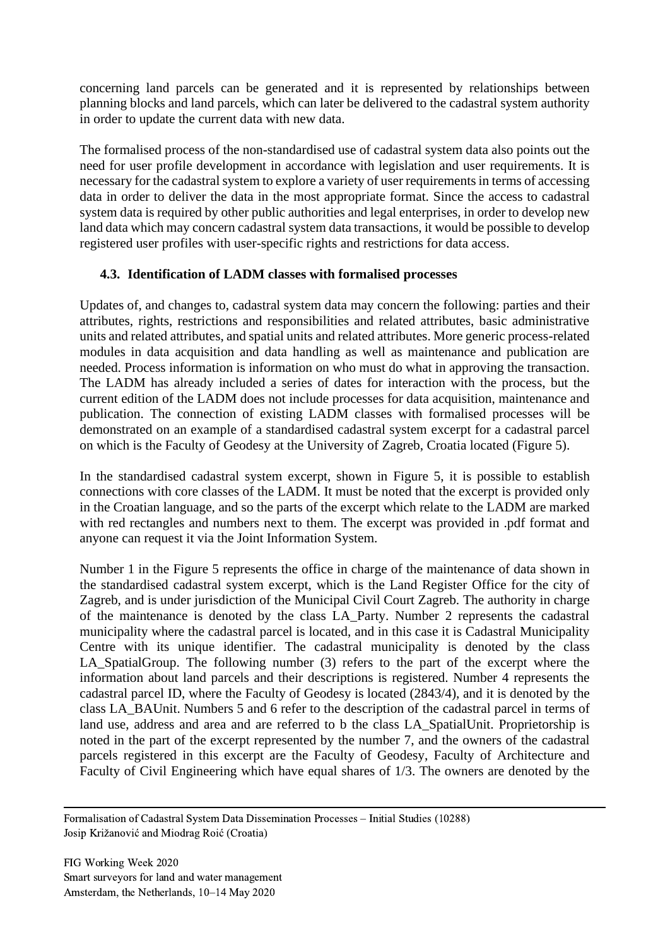concerning land parcels can be generated and it is represented by relationships between planning blocks and land parcels, which can later be delivered to the cadastral system authority in order to update the current data with new data.

The formalised process of the non-standardised use of cadastral system data also points out the need for user profile development in accordance with legislation and user requirements. It is necessary for the cadastral system to explore a variety of user requirements in terms of accessing data in order to deliver the data in the most appropriate format. Since the access to cadastral system data is required by other public authorities and legal enterprises, in order to develop new land data which may concern cadastral system data transactions, it would be possible to develop registered user profiles with user-specific rights and restrictions for data access.

# **4.3. Identification of LADM classes with formalised processes**

Updates of, and changes to, cadastral system data may concern the following: parties and their attributes, rights, restrictions and responsibilities and related attributes, basic administrative units and related attributes, and spatial units and related attributes. More generic process-related modules in data acquisition and data handling as well as maintenance and publication are needed. Process information is information on who must do what in approving the transaction. The LADM has already included a series of dates for interaction with the process, but the current edition of the LADM does not include processes for data acquisition, maintenance and publication. The connection of existing LADM classes with formalised processes will be demonstrated on an example of a standardised cadastral system excerpt for a cadastral parcel on which is the Faculty of Geodesy at the University of Zagreb, Croatia located (Figure 5).

In the standardised cadastral system excerpt, shown in Figure 5, it is possible to establish connections with core classes of the LADM. It must be noted that the excerpt is provided only in the Croatian language, and so the parts of the excerpt which relate to the LADM are marked with red rectangles and numbers next to them. The excerpt was provided in .pdf format and anyone can request it via the Joint Information System.

Number 1 in the Figure 5 represents the office in charge of the maintenance of data shown in the standardised cadastral system excerpt, which is the Land Register Office for the city of Zagreb, and is under jurisdiction of the Municipal Civil Court Zagreb. The authority in charge of the maintenance is denoted by the class LA\_Party. Number 2 represents the cadastral municipality where the cadastral parcel is located, and in this case it is Cadastral Municipality Centre with its unique identifier. The cadastral municipality is denoted by the class LA SpatialGroup. The following number (3) refers to the part of the excerpt where the information about land parcels and their descriptions is registered. Number 4 represents the cadastral parcel ID, where the Faculty of Geodesy is located (2843/4), and it is denoted by the class LA\_BAUnit. Numbers 5 and 6 refer to the description of the cadastral parcel in terms of land use, address and area and are referred to b the class LA\_SpatialUnit. Proprietorship is noted in the part of the excerpt represented by the number 7, and the owners of the cadastral parcels registered in this excerpt are the Faculty of Geodesy, Faculty of Architecture and Faculty of Civil Engineering which have equal shares of 1/3. The owners are denoted by the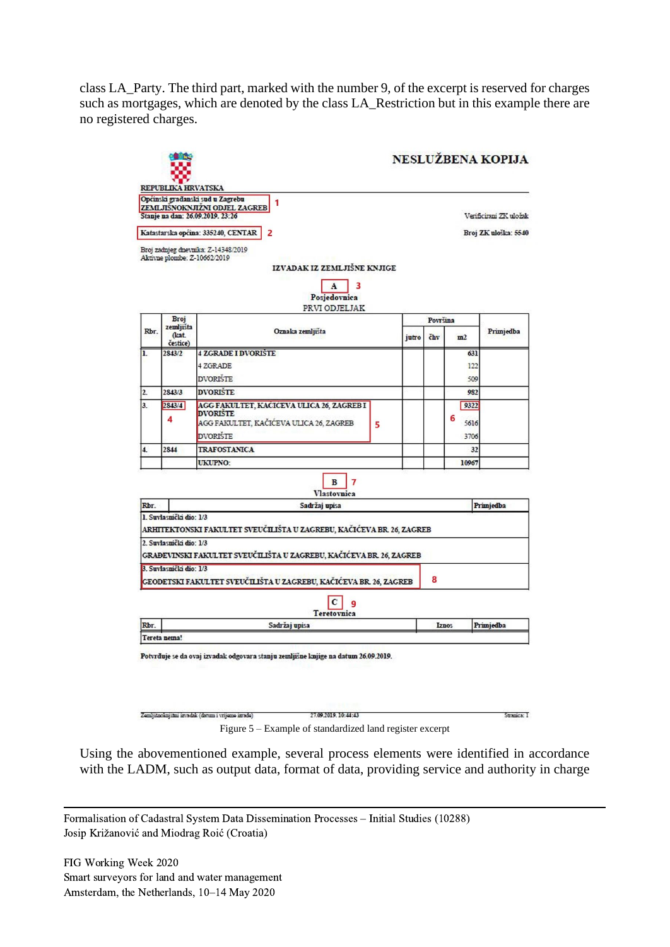class LA\_Party. The third part, marked with the number 9, of the excerpt is reserved for charges such as mortgages, which are denoted by the class LA\_Restriction but in this example there are no registered charges.



27.09.2019.10:44:43 Zembitnośnictwi izundak (datum i vrijeme izrade) Stranica: I

Figure 5 – Example of standardized land register excerpt

Using the abovementioned example, several process elements were identified in accordance with the LADM, such as output data, format of data, providing service and authority in charge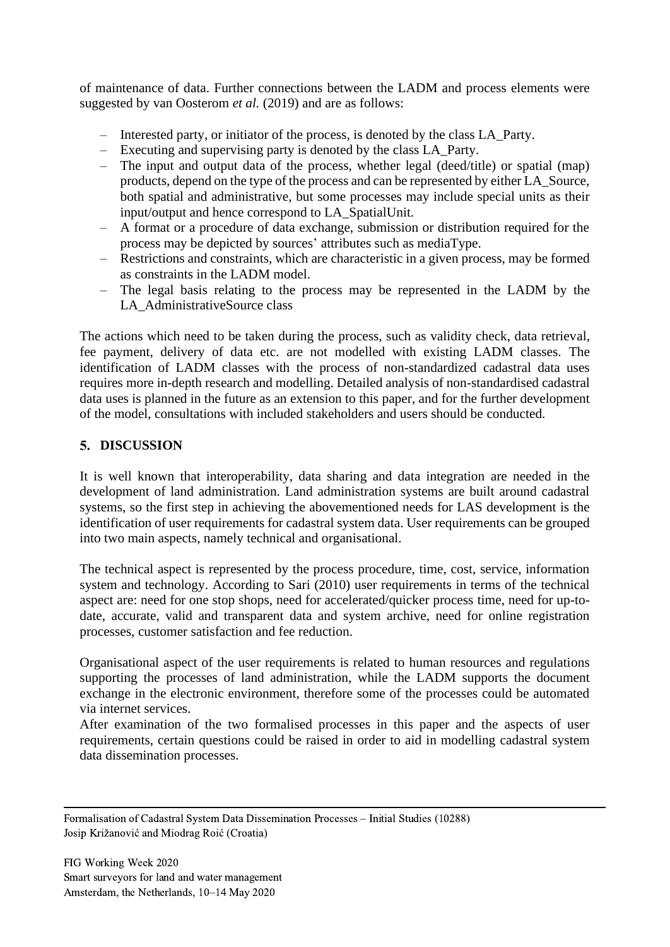of maintenance of data. Further connections between the LADM and process elements were suggested by van Oosterom *et al.* (2019) and are as follows:

- Interested party, or initiator of the process, is denoted by the class LA\_Party.
- Executing and supervising party is denoted by the class LA\_Party.
- The input and output data of the process, whether legal (deed/title) or spatial (map) products, depend on the type of the process and can be represented by either LA\_Source, both spatial and administrative, but some processes may include special units as their input/output and hence correspond to LA\_SpatialUnit.
- A format or a procedure of data exchange, submission or distribution required for the process may be depicted by sources' attributes such as mediaType.
- Restrictions and constraints, which are characteristic in a given process, may be formed as constraints in the LADM model.
- The legal basis relating to the process may be represented in the LADM by the LA AdministrativeSource class

The actions which need to be taken during the process, such as validity check, data retrieval, fee payment, delivery of data etc. are not modelled with existing LADM classes. The identification of LADM classes with the process of non-standardized cadastral data uses requires more in-depth research and modelling. Detailed analysis of non-standardised cadastral data uses is planned in the future as an extension to this paper, and for the further development of the model, consultations with included stakeholders and users should be conducted.

# **DISCUSSION**

It is well known that interoperability, data sharing and data integration are needed in the development of land administration. Land administration systems are built around cadastral systems, so the first step in achieving the abovementioned needs for LAS development is the identification of user requirements for cadastral system data. User requirements can be grouped into two main aspects, namely technical and organisational.

The technical aspect is represented by the process procedure, time, cost, service, information system and technology. According to Sari (2010) user requirements in terms of the technical aspect are: need for one stop shops, need for accelerated/quicker process time, need for up-todate, accurate, valid and transparent data and system archive, need for online registration processes, customer satisfaction and fee reduction.

Organisational aspect of the user requirements is related to human resources and regulations supporting the processes of land administration, while the LADM supports the document exchange in the electronic environment, therefore some of the processes could be automated via internet services.

After examination of the two formalised processes in this paper and the aspects of user requirements, certain questions could be raised in order to aid in modelling cadastral system data dissemination processes.

Formalisation of Cadastral System Data Dissemination Processes – Initial Studies (10288) Josip Križanović and Miodrag Roić (Croatia)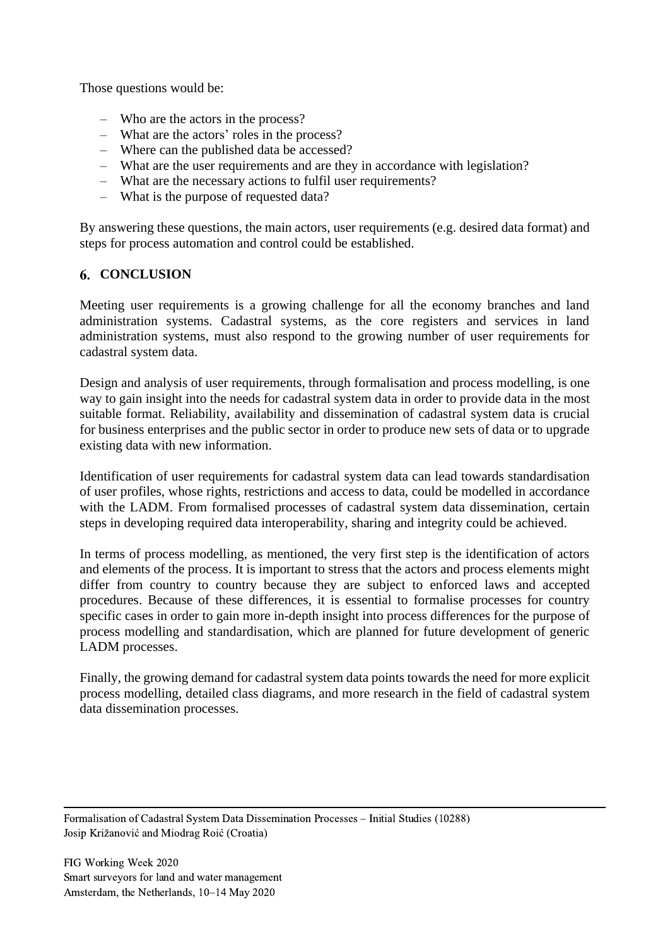Those questions would be:

- Who are the actors in the process?
- What are the actors' roles in the process?
- Where can the published data be accessed?
- What are the user requirements and are they in accordance with legislation?
- What are the necessary actions to fulfil user requirements?
- What is the purpose of requested data?

By answering these questions, the main actors, user requirements (e.g. desired data format) and steps for process automation and control could be established.

### **6. CONCLUSION**

Meeting user requirements is a growing challenge for all the economy branches and land administration systems. Cadastral systems, as the core registers and services in land administration systems, must also respond to the growing number of user requirements for cadastral system data.

Design and analysis of user requirements, through formalisation and process modelling, is one way to gain insight into the needs for cadastral system data in order to provide data in the most suitable format. Reliability, availability and dissemination of cadastral system data is crucial for business enterprises and the public sector in order to produce new sets of data or to upgrade existing data with new information.

Identification of user requirements for cadastral system data can lead towards standardisation of user profiles, whose rights, restrictions and access to data, could be modelled in accordance with the LADM. From formalised processes of cadastral system data dissemination, certain steps in developing required data interoperability, sharing and integrity could be achieved.

In terms of process modelling, as mentioned, the very first step is the identification of actors and elements of the process. It is important to stress that the actors and process elements might differ from country to country because they are subject to enforced laws and accepted procedures. Because of these differences, it is essential to formalise processes for country specific cases in order to gain more in-depth insight into process differences for the purpose of process modelling and standardisation, which are planned for future development of generic LADM processes.

Finally, the growing demand for cadastral system data points towards the need for more explicit process modelling, detailed class diagrams, and more research in the field of cadastral system data dissemination processes.

Formalisation of Cadastral System Data Dissemination Processes – Initial Studies (10288) Josip Križanović and Miodrag Roić (Croatia)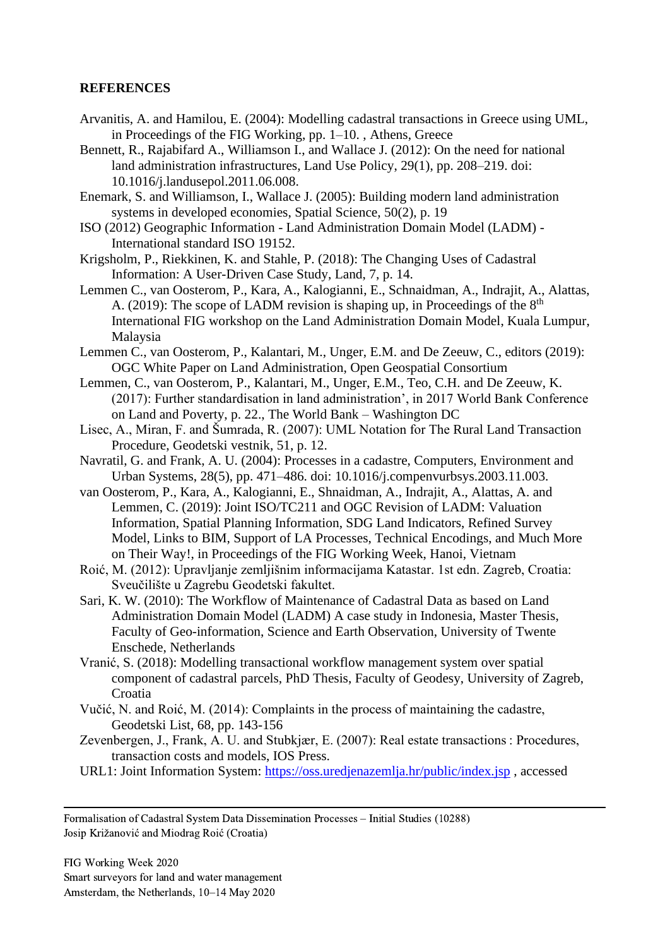### **REFERENCES**

- Arvanitis, A. and Hamilou, E. (2004): Modelling cadastral transactions in Greece using UML, in Proceedings of the FIG Working, pp. 1–10. , Athens, Greece
- Bennett, R., Rajabifard A., Williamson I., and Wallace J. (2012): On the need for national land administration infrastructures, Land Use Policy, 29(1), pp. 208–219. doi: 10.1016/j.landusepol.2011.06.008.
- Enemark, S. and Williamson, I., Wallace J. (2005): Building modern land administration systems in developed economies, Spatial Science, 50(2), p. 19
- ISO (2012) Geographic Information Land Administration Domain Model (LADM) International standard ISO 19152.
- Krigsholm, P., Riekkinen, K. and Stahle, P. (2018): The Changing Uses of Cadastral Information: A User-Driven Case Study, Land, 7, p. 14.
- Lemmen C., van Oosterom, P., Kara, A., Kalogianni, E., Schnaidman, A., Indrajit, A., Alattas, A. (2019): The scope of LADM revision is shaping up, in Proceedings of the  $8<sup>th</sup>$ International FIG workshop on the Land Administration Domain Model, Kuala Lumpur, Malaysia
- Lemmen C., van Oosterom, P., Kalantari, M., Unger, E.M. and De Zeeuw, C., editors (2019): OGC White Paper on Land Administration, Open Geospatial Consortium
- Lemmen, C., van Oosterom, P., Kalantari, M., Unger, E.M., Teo, C.H. and De Zeeuw, K. (2017): Further standardisation in land administration', in 2017 World Bank Conference on Land and Poverty, p. 22., The World Bank – Washington DC
- Lisec, A., Miran, F. and Šumrada, R. (2007): UML Notation for The Rural Land Transaction Procedure, Geodetski vestnik, 51, p. 12.
- Navratil, G. and Frank, A. U. (2004): Processes in a cadastre, Computers, Environment and Urban Systems, 28(5), pp. 471–486. doi: 10.1016/j.compenvurbsys.2003.11.003.
- van Oosterom, P., Kara, A., Kalogianni, E., Shnaidman, A., Indrajit, A., Alattas, A. and Lemmen, C. (2019): Joint ISO/TC211 and OGC Revision of LADM: Valuation Information, Spatial Planning Information, SDG Land Indicators, Refined Survey Model, Links to BIM, Support of LA Processes, Technical Encodings, and Much More on Their Way!, in Proceedings of the FIG Working Week, Hanoi, Vietnam
- Roić, M. (2012): Upravljanje zemljišnim informacijama Katastar. 1st edn. Zagreb, Croatia: Sveučilište u Zagrebu Geodetski fakultet.
- Sari, K. W. (2010): The Workflow of Maintenance of Cadastral Data as based on Land Administration Domain Model (LADM) A case study in Indonesia, Master Thesis, Faculty of Geo-information, Science and Earth Observation, University of Twente Enschede, Netherlands
- Vranić, S. (2018): Modelling transactional workflow management system over spatial component of cadastral parcels, PhD Thesis, Faculty of Geodesy, University of Zagreb, Croatia
- Vučić, N. and Roić, M. (2014): Complaints in the process of maintaining the cadastre, Geodetski List, 68, pp. 143-156
- Zevenbergen, J., Frank, A. U. and Stubkjær, E. (2007): Real estate transactions : Procedures, transaction costs and models, IOS Press.

URL1: Joint Information System:<https://oss.uredjenazemlja.hr/public/index.jsp> , accessed

Formalisation of Cadastral System Data Dissemination Processes – Initial Studies (10288) Josip Križanović and Miodrag Roić (Croatia)